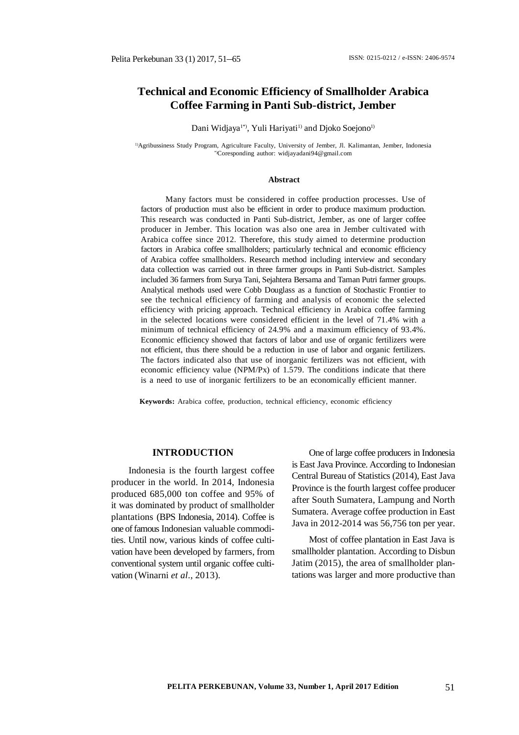# **Technical and Economic Efficiency of Smallholder Arabica Coffee Farming in Panti Sub-district, Jember**

Dani Widjaya<sup>1\*</sup>, Yuli Hariyati<sup>1)</sup> and Djoko Soejono<sup>1)</sup>

1)Agribussiness Study Program, Agriculture Faculty, University of Jember, Jl. Kalimantan, Jember, Indonesia \*)Coresponding author: [widjayadani94@gmail.com](mailto:widjayadani94@gmail.com)

#### **Abstract**

Many factors must be considered in coffee production processes. Use of factors of production must also be efficient in order to produce maximum production. This research was conducted in Panti Sub-district, Jember, as one of larger coffee producer in Jember. This location was also one area in Jember cultivated with Arabica coffee since 2012. Therefore, this study aimed to determine production factors in Arabica coffee smallholders; particularly technical and economic efficiency of Arabica coffee smallholders. Research method including interview and secondary data collection was carried out in three farmer groups in Panti Sub-district. Samples included 36 farmers from Surya Tani, Sejahtera Bersama and Taman Putri farmer groups. Analytical methods used were Cobb Douglass as a function of Stochastic Frontier to see the technical efficiency of farming and analysis of economic the selected efficiency with pricing approach. Technical efficiency in Arabica coffee farming in the selected locations were considered efficient in the level of 71.4% with a minimum of technical efficiency of 24.9% and a maximum efficiency of 93.4%. Economic efficiency showed that factors of labor and use of organic fertilizers were not efficient, thus there should be a reduction in use of labor and organic fertilizers. The factors indicated also that use of inorganic fertilizers was not efficient, with economic efficiency value (NPM/Px) of 1.579. The conditions indicate that there is a need to use of inorganic fertilizers to be an economically efficient manner.

**Keywords:** Arabica coffee, production, technical efficiency, economic efficiency

#### **INTRODUCTION**

Indonesia is the fourth largest coffee producer in the world. In 2014, Indonesia produced 685,000 ton coffee and 95% of it was dominated by product of smallholder plantations (BPS Indonesia, 2014). Coffee is one of famous Indonesian valuable commodities. Until now, various kinds of coffee cultivation have been developed by farmers, from conventional system until organic coffee cultivation (Winarni *et al.*, 2013).

One of large coffee producers in Indonesia is East Java Province. According to Indonesian Central Bureau of Statistics (2014), East Java Province is the fourth largest coffee producer after South Sumatera, Lampung and North Sumatera. Average coffee production in East Java in 2012-2014 was 56,756 ton per year.

Most of coffee plantation in East Java is smallholder plantation. According to Disbun Jatim (2015), the area of smallholder plantations was larger and more productive than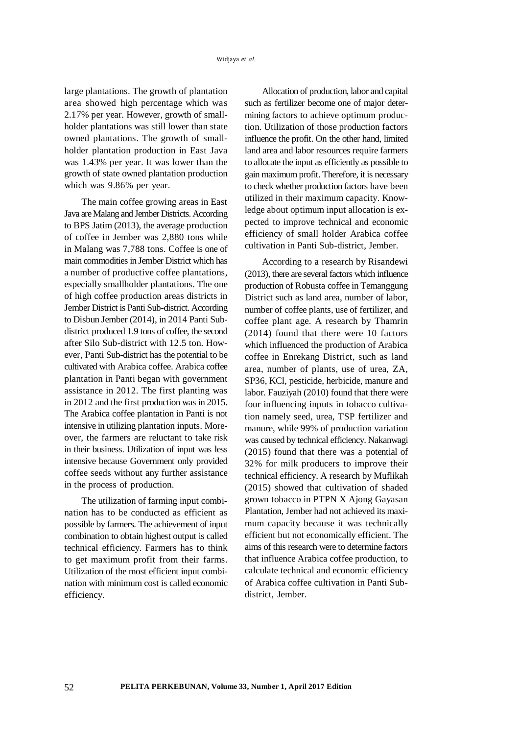large plantations. The growth of plantation area showed high percentage which was 2.17% per year. However, growth of smallholder plantations was still lower than state owned plantations. The growth of smallholder plantation production in East Java was 1.43% per year. It was lower than the growth of state owned plantation production which was 9.86% per year.

The main coffee growing areas in East Java are Malang and Jember Districts. According to BPS Jatim (2013), the average production of coffee in Jember was 2,880 tons while in Malang was 7,788 tons. Coffee is one of main commodities in Jember District which has a number of productive coffee plantations, especially smallholder plantations. The one of high coffee production areas districts in Jember District is Panti Sub-district. According to Disbun Jember (2014), in 2014 Panti Subdistrict produced 1.9 tons of coffee, the second after Silo Sub-district with 12.5 ton. However, Panti Sub-district has the potential to be cultivated with Arabica coffee. Arabica coffee plantation in Panti began with government assistance in 2012. The first planting was in 2012 and the first production was in 2015. The Arabica coffee plantation in Panti is not intensive in utilizing plantation inputs. Moreover, the farmers are reluctant to take risk in their business. Utilization of input was less intensive because Government only provided coffee seeds without any further assistance in the process of production.

The utilization of farming input combination has to be conducted as efficient as possible by farmers. The achievement of input combination to obtain highest output is called technical efficiency. Farmers has to think to get maximum profit from their farms. Utilization of the most efficient input combination with minimum cost is called economic efficiency.

Allocation of production, labor and capital such as fertilizer become one of major determining factors to achieve optimum production. Utilization of those production factors influence the profit. On the other hand, limited land area and labor resources require farmers to allocate the input as efficiently as possible to gain maximum profit. Therefore, it is necessary to check whether production factors have been utilized in their maximum capacity. Knowledge about optimum input allocation is expected to improve technical and economic efficiency of small holder Arabica coffee cultivation in Panti Sub-district, Jember.

According to a research by Risandewi (2013), there are several factors which influence production of Robusta coffee in Temanggung District such as land area, number of labor, number of coffee plants, use of fertilizer, and coffee plant age. A research by Thamrin (2014) found that there were 10 factors which influenced the production of Arabica coffee in Enrekang District, such as land area, number of plants, use of urea, ZA, SP36, KCl, pesticide, herbicide, manure and labor. Fauziyah (2010) found that there were four influencing inputs in tobacco cultivation namely seed, urea, TSP fertilizer and manure, while 99% of production variation was caused by technical efficiency. Nakanwagi (2015) found that there was a potential of 32% for milk producers to improve their technical efficiency. A research by Muflikah (2015) showed that cultivation of shaded grown tobacco in PTPN X Ajong Gayasan Plantation, Jember had not achieved its maximum capacity because it was technically efficient but not economically efficient. The aims of this research were to determine factors that influence Arabica coffee production, to calculate technical and economic efficiency of Arabica coffee cultivation in Panti Subdistrict, Jember.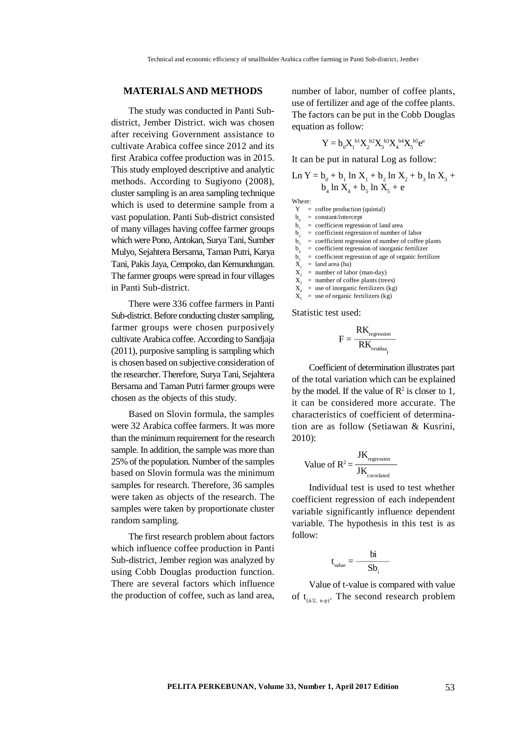## **MATERIALS AND METHODS**

The study was conducted in Panti Subdistrict, Jember District. wich was chosen after receiving Government assistance to cultivate Arabica coffee since 2012 and its first Arabica coffee production was in 2015. This study employed descriptive and analytic methods. According to Sugiyono (2008), cluster sampling is an area sampling technique which is used to determine sample from a vast population. Panti Sub-district consisted of many villages having coffee farmer groups which were Pono, Antokan, Surya Tani, Sumber Mulyo, Sejahtera Bersama, Taman Putri, Karya Tani, Pakis Jaya, Cempoko, dan Kemundungan. The farmer groups were spread in four villages in Panti Sub-district.

There were 336 coffee farmers in Panti Sub-district. Before conducting cluster sampling, farmer groups were chosen purposively cultivate Arabica coffee. According to Sandjaja (2011), purposive sampling is sampling which is chosen based on subjective consideration of the researcher. Therefore, Surya Tani, Sejahtera Bersama and Taman Putri farmer groups were chosen as the objects of this study.

Based on Slovin formula, the samples were 32 Arabica coffee farmers. It was more than the minimum requirement for the research sample. In addition, the sample was more than 25% of the population. Number of the samples based on Slovin formula was the minimum samples for research. Therefore, 36 samples were taken as objects of the research. The samples were taken by proportionate cluster random sampling*.*

The first research problem about factors which influence coffee production in Panti Sub-district, Jember region was analyzed by using Cobb Douglas production function. There are several factors which influence the production of coffee, such as land area,

number of labor, number of coffee plants, use of fertilizer and age of the coffee plants. The factors can be put in the Cobb Douglas equation as follow:

$$
Y=b_0X_{1}^{\ b1}X_{2}^{\ b2}X_{3}^{\ b3}X_{4}^{\ b4}X_{5}^{\ b5}e^u
$$

It can be put in natural Log as follow:

$$
Ln Y = b_0 + b_1 ln X_1 + b_2 ln X_2 + b_3 ln X_3 + b_4 ln X_4 + b_5 ln X_5 + e
$$

Where:

 $Y = \text{cofree production (quintal)}$ 

- $b_0$  = constant/intercept
- $\mathbf{b}$ = coefficient regression of land area
- $b_2$  = coefficient regression of number of labor
- $\mathbf{b}_3$  $=$  coefficient regression of number of coffee plants
- $b_4$  = coefficient regression of inorganic fertilizer
- $b<sub>5</sub>$ = coefficient regression of age of organic fertilizer
- $\overrightarrow{X}$  $=$  land area (ha)
- $X_2$  = number of labor (man-day)
- $X^{\hat{z}}$  $=$  number of coffee plants (trees)
- $X_{4}$  $=$  use of inorganic fertilizers (kg)
- $\bar{X}$  $=$  use of organic fertilizers (kg)

Statistic test used:

$$
F = \frac{RK_{\text{regression}}}{RK_{\text{residual}_1}}
$$

Coefficient of determination illustrates part of the total variation which can be explained by the model. If the value of  $\mathbb{R}^2$  is closer to 1, it can be considered more accurate. The characteristics of coefficient of determination are as follow (Setiawan & Kusrini, 2010):

$$
Value of R2 = \frac{JK_{regression}}{JK_{correlated}}
$$

Individual test is used to test whether coefficient regression of each independent variable significantly influence dependent variable. The hypothesis in this test is as follow:

$$
t_{value} = \frac{bi}{Sb_{i}}
$$

Value of t-value is compared with value of  $t_{(6/2,n-p)}$ . The second research problem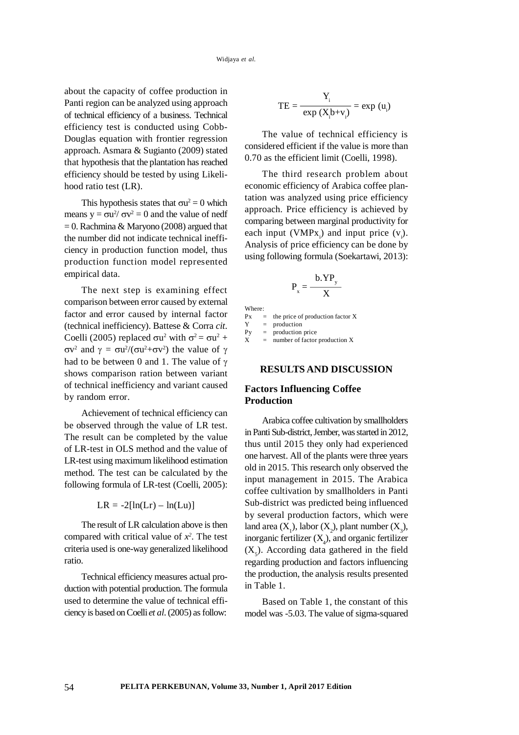about the capacity of coffee production in Panti region can be analyzed using approach of technical efficiency of a business. Technical efficiency test is conducted using Cobb-Douglas equation with frontier regression approach. Asmara & Sugianto (2009) stated that hypothesis that the plantation has reached efficiency should be tested by using Likelihood ratio test (LR).

This hypothesis states that  $\sigma u^2 = 0$  which means  $y = \sigma u^2 / \sigma v^2 = 0$  and the value of nedf  $= 0$ . Rachmina & Maryono (2008) argued that the number did not indicate technical inefficiency in production function model, thus production function model represented empirical data.

The next step is examining effect comparison between error caused by external factor and error caused by internal factor (technical inefficiency). Battese & Corra *cit.* Coelli (2005) replaced  $\sigma u^2$  with  $\sigma^2 = \sigma u^2 +$  $\sigma v^2$  and  $\gamma = \sigma u^2/(\sigma u^2 + \sigma v^2)$  the value of  $\gamma$ had to be between 0 and 1. The value of  $\gamma$ shows comparison ration between variant of technical inefficiency and variant caused by random error.

Achievement of technical efficiency can be observed through the value of LR test. The result can be completed by the value of LR-test in OLS method and the value of LR-test using maximum likelihood estimation method. The test can be calculated by the following formula of LR-test (Coelli, 2005):

$$
LR = -2[\ln(Lr) - \ln(Lu)]
$$

The result of LR calculation above is then compared with critical value of  $x^2$ . The test criteria used is one-way generalized likelihood ratio.

Technical efficiency measures actual production with potential production. The formula used to determine the value of technical efficiency is based on Coelli *et al*. (2005) as follow:

$$
TE = \frac{Y_i}{\exp(X_i b + v_i)} = \exp(u_i)
$$

The value of technical efficiency is considered efficient if the value is more than 0.70 as the efficient limit (Coelli, 1998).

The third research problem about economic efficiency of Arabica coffee plantation was analyzed using price efficiency approach. Price efficiency is achieved by comparing between marginal productivity for each input (VMPx<sub>i</sub>) and input price  $(v_i)$ . Analysis of price efficiency can be done by using following formula (Soekartawi, 2013):

$$
P_x = \frac{b.YP_y}{X}
$$

| Where: |     |                                  |
|--------|-----|----------------------------------|
| Рx     | $=$ | the price of production factor X |
| Y      | $=$ | production                       |
| Py     | $=$ | production price                 |
| X      | $=$ | number of factor production X    |

# **RESULTS AND DISCUSSION**

## **Factors Influencing Coffee Production**

Arabica coffee cultivation by smallholders in Panti Sub-district, Jember, was started in 2012, thus until 2015 they only had experienced one harvest. All of the plants were three years old in 2015. This research only observed the input management in 2015. The Arabica coffee cultivation by smallholders in Panti Sub-district was predicted being influenced by several production factors, which were land area  $(X_1)$ , labor  $(X_2)$ , plant number  $(X_3)$ , inorganic fertilizer  $(X_{\!\tiny 4})$ , and organic fertilizer  $(X<sub>5</sub>)$ . According data gathered in the field regarding production and factors influencing the production, the analysis results presented in Table 1.

Based on Table 1, the constant of this model was -5.03. The value of sigma-squared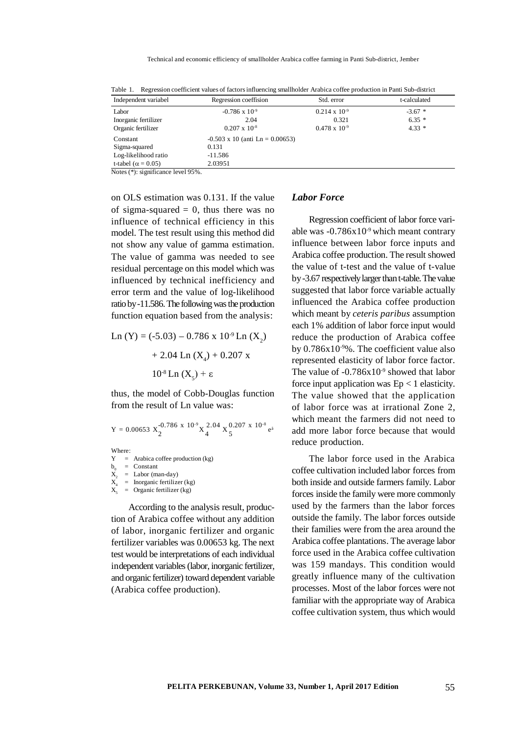| Table T. Regression coefficient values of factors influencing smallholder Arabica coffee production in Panti Sub-district                                                                                                                                                                                                          |                                        |                        |              |  |  |
|------------------------------------------------------------------------------------------------------------------------------------------------------------------------------------------------------------------------------------------------------------------------------------------------------------------------------------|----------------------------------------|------------------------|--------------|--|--|
| Independent variabel                                                                                                                                                                                                                                                                                                               | Regression coeffision                  | Std. error             | t-calculated |  |  |
| Labor                                                                                                                                                                                                                                                                                                                              | $-0.786 \times 10^{-9}$                | $0.214 \times 10^{-9}$ | $-3.67$ *    |  |  |
| Inorganic fertilizer                                                                                                                                                                                                                                                                                                               | 2.04                                   | 0.321                  | $6.35*$      |  |  |
| Organic fertilizer                                                                                                                                                                                                                                                                                                                 | $0.207 \times 10^{-8}$                 | $0.478 \times 10^{-9}$ | $4.33*$      |  |  |
| Constant                                                                                                                                                                                                                                                                                                                           | $-0.503 \times 10$ (anti Ln = 0.00653) |                        |              |  |  |
| Sigma-squared                                                                                                                                                                                                                                                                                                                      | 0.131                                  |                        |              |  |  |
| Log-likelihood ratio                                                                                                                                                                                                                                                                                                               | $-11.586$                              |                        |              |  |  |
| t-tabel ( $\alpha$ = 0.05)                                                                                                                                                                                                                                                                                                         | 2.03951                                |                        |              |  |  |
| $\mathbf{M}$ $\mathbf{M}$ $\mathbf{M}$ $\mathbf{M}$ $\mathbf{M}$ $\mathbf{M}$ $\mathbf{M}$ $\mathbf{M}$ $\mathbf{M}$ $\mathbf{M}$ $\mathbf{M}$ $\mathbf{M}$ $\mathbf{M}$ $\mathbf{M}$ $\mathbf{M}$ $\mathbf{M}$ $\mathbf{M}$ $\mathbf{M}$ $\mathbf{M}$ $\mathbf{M}$ $\mathbf{M}$ $\mathbf{M}$ $\mathbf{M}$ $\mathbf{M}$ $\mathbf{$ |                                        |                        |              |  |  |

Table 1. Regression coefficient values of factors influencing smallholder Arabica coffee production in Panti Sub-district

Notes (\*): significance level 95%.

on OLS estimation was 0.131. If the value of sigma-squared  $= 0$ , thus there was no influence of technical efficiency in this model. The test result using this method did not show any value of gamma estimation. The value of gamma was needed to see residual percentage on this model which was influenced by technical inefficiency and error term and the value of log-likelihood ratio by -11.586. The following was the production function equation based from the analysis:

Ln (Y) = (-5.03) – 0.786 x 10-9 Ln (X<sup>2</sup> ) + 2.04 Ln (X<sup>4</sup> ) + 0.207 x 10-8 Ln (X<sup>5</sup> ) + ε

thus, the model of Cobb-Douglas function from the result of Ln value was:

$$
Y = 0.00653 \, X_{2}^{-0.786} \, x \, 10^{-9} \, X_{4}^{2.04} \, X_{5}^{0.207} \, x \, 10^{-8} \, e^{a}
$$

Where:

 $Y =$  Arabica coffee production (kg)  $b^0$  $=$  Constant  $X^{\ }_{2}$  $=$  Labor (man-day)  $X_4$  = Inorganic fertilizer (kg)

 $X_{\epsilon}$ = Organic fertilizer (kg)

According to the analysis result, production of Arabica coffee without any addition of labor, inorganic fertilizer and organic fertilizer variables was 0.00653 kg. The next test would be interpretations of each individual independent variables (labor, inorganic fertilizer, and organic fertilizer) toward dependent variable (Arabica coffee production).

## *Labor Force*

Regression coefficient of labor force variable was  $-0.786x10^{-9}$  which meant contrary influence between labor force inputs and Arabica coffee production. The result showed the value of t-test and the value of t-value by -3.67 respectively larger than t-table. The value suggested that labor force variable actually influenced the Arabica coffee production which meant by *ceteris paribus* assumption each 1% addition of labor force input would reduce the production of Arabica coffee by  $0.786x10^{-9}$ %. The coefficient value also represented elasticity of labor force factor. The value of  $-0.786x10^{-9}$  showed that labor force input application was  $Ep < 1$  elasticity. The value showed that the application of labor force was at irrational Zone 2, which meant the farmers did not need to add more labor force because that would reduce production.

The labor force used in the Arabica coffee cultivation included labor forces from both inside and outside farmers family. Labor forces inside the family were more commonly used by the farmers than the labor forces outside the family. The labor forces outside their families were from the area around the Arabica coffee plantations. The average labor force used in the Arabica coffee cultivation was 159 mandays. This condition would greatly influence many of the cultivation processes. Most of the labor forces were not familiar with the appropriate way of Arabica coffee cultivation system, thus which would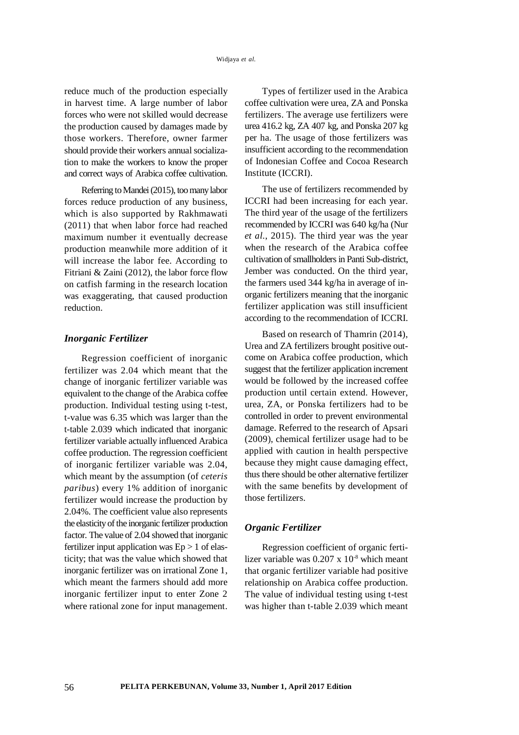reduce much of the production especially in harvest time. A large number of labor forces who were not skilled would decrease the production caused by damages made by those workers. Therefore, owner farmer should provide their workers annual socialization to make the workers to know the proper and correct ways of Arabica coffee cultivation.

Referring to Mandei (2015), too many labor forces reduce production of any business, which is also supported by Rakhmawati (2011) that when labor force had reached maximum number it eventually decrease production meanwhile more addition of it will increase the labor fee. According to Fitriani & Zaini (2012), the labor force flow on catfish farming in the research location was exaggerating, that caused production reduction.

## *Inorganic Fertilizer*

Regression coefficient of inorganic fertilizer was 2.04 which meant that the change of inorganic fertilizer variable was equivalent to the change of the Arabica coffee production. Individual testing using t-test, t-value was 6.35 which was larger than the t-table 2.039 which indicated that inorganic fertilizer variable actually influenced Arabica coffee production. The regression coefficient of inorganic fertilizer variable was 2.04, which meant by the assumption (of *ceteris paribus*) every 1% addition of inorganic fertilizer would increase the production by 2.04%. The coefficient value also represents the elasticity of the inorganic fertilizer production factor. The value of 2.04 showed that inorganic fertilizer input application was  $Ep > 1$  of elasticity; that was the value which showed that inorganic fertilizer was on irrational Zone 1, which meant the farmers should add more inorganic fertilizer input to enter Zone 2 where rational zone for input management.

Types of fertilizer used in the Arabica coffee cultivation were urea, ZA and Ponska fertilizers. The average use fertilizers were urea 416.2 kg, ZA 407 kg, and Ponska 207 kg per ha. The usage of those fertilizers was insufficient according to the recommendation of Indonesian Coffee and Cocoa Research Institute (ICCRI).

The use of fertilizers recommended by ICCRI had been increasing for each year. The third year of the usage of the fertilizers recommended by ICCRI was 640 kg/ha (Nur *et al.*, 2015). The third year was the year when the research of the Arabica coffee cultivation of smallholders in Panti Sub-district, Jember was conducted. On the third year, the farmers used 344 kg/ha in average of inorganic fertilizers meaning that the inorganic fertilizer application was still insufficient according to the recommendation of ICCRI.

Based on research of Thamrin (2014), Urea and ZA fertilizers brought positive outcome on Arabica coffee production, which suggest that the fertilizer application increment would be followed by the increased coffee production until certain extend. However, urea, ZA, or Ponska fertilizers had to be controlled in order to prevent environmental damage. Referred to the research of Apsari (2009), chemical fertilizer usage had to be applied with caution in health perspective because they might cause damaging effect, thus there should be other alternative fertilizer with the same benefits by development of those fertilizers.

#### *Organic Fertilizer*

Regression coefficient of organic fertilizer variable was  $0.207 \times 10^{-8}$  which meant that organic fertilizer variable had positive relationship on Arabica coffee production. The value of individual testing using t-test was higher than t-table 2.039 which meant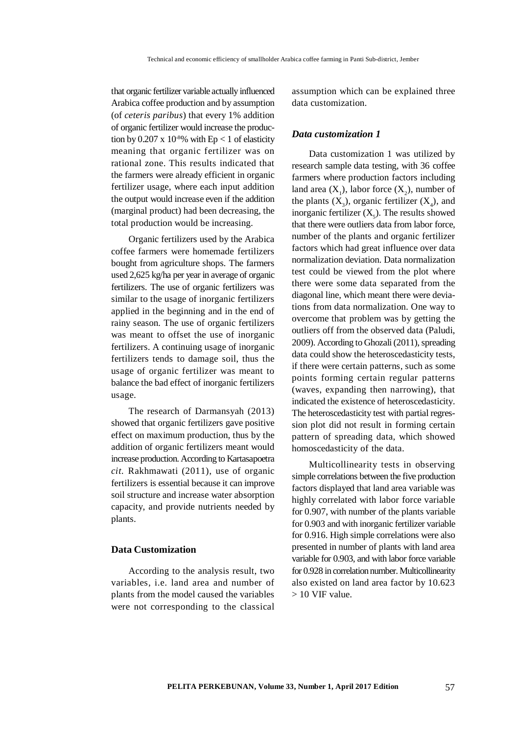that organic fertilizer variable actually influenced Arabica coffee production and by assumption (of *ceteris paribus*) that every 1% addition of organic fertilizer would increase the production by 0.207 x  $10<sup>8</sup>%$  with Ep < 1 of elasticity meaning that organic fertilizer was on rational zone. This results indicated that the farmers were already efficient in organic fertilizer usage, where each input addition the output would increase even if the addition (marginal product) had been decreasing, the total production would be increasing.

Organic fertilizers used by the Arabica coffee farmers were homemade fertilizers bought from agriculture shops. The farmers used 2,625 kg/ha per year in average of organic fertilizers. The use of organic fertilizers was similar to the usage of inorganic fertilizers applied in the beginning and in the end of rainy season. The use of organic fertilizers was meant to offset the use of inorganic fertilizers. A continuing usage of inorganic fertilizers tends to damage soil, thus the usage of organic fertilizer was meant to balance the bad effect of inorganic fertilizers usage.

The research of Darmansyah (2013) showed that organic fertilizers gave positive effect on maximum production, thus by the addition of organic fertilizers meant would increase production. According to Kartasapoetra *cit.* Rakhmawati (2011), use of organic fertilizers is essential because it can improve soil structure and increase water absorption capacity, and provide nutrients needed by plants.

## **Data Customization**

According to the analysis result, two variables, i.e. land area and number of plants from the model caused the variables were not corresponding to the classical

assumption which can be explained three data customization.

#### *Data customization 1*

Data customization 1 was utilized by research sample data testing, with 36 coffee farmers where production factors including land area  $(X_1)$ , labor force  $(X_2)$ , number of the plants  $(X_3)$ , organic fertilizer  $(X_4)$ , and inorganic fertilizer  $(X_5)$ . The results showed that there were outliers data from labor force, number of the plants and organic fertilizer factors which had great influence over data normalization deviation. Data normalization test could be viewed from the plot where there were some data separated from the diagonal line, which meant there were deviations from data normalization. One way to overcome that problem was by getting the outliers off from the observed data (Paludi, 2009). According to Ghozali (2011), spreading data could show the heteroscedasticity tests, if there were certain patterns, such as some points forming certain regular patterns (waves, expanding then narrowing), that indicated the existence of heteroscedasticity. The heteroscedasticity test with partial regression plot did not result in forming certain pattern of spreading data, which showed homoscedasticity of the data.

Multicollinearity tests in observing simple correlations between the five production factors displayed that land area variable was highly correlated with labor force variable for 0.907, with number of the plants variable for 0.903 and with inorganic fertilizer variable for 0.916. High simple correlations were also presented in number of plants with land area variable for 0.903, and with labor force variable for 0.928 in correlation number. Multicollinearity also existed on land area factor by 10.623  $> 10$  VIF value.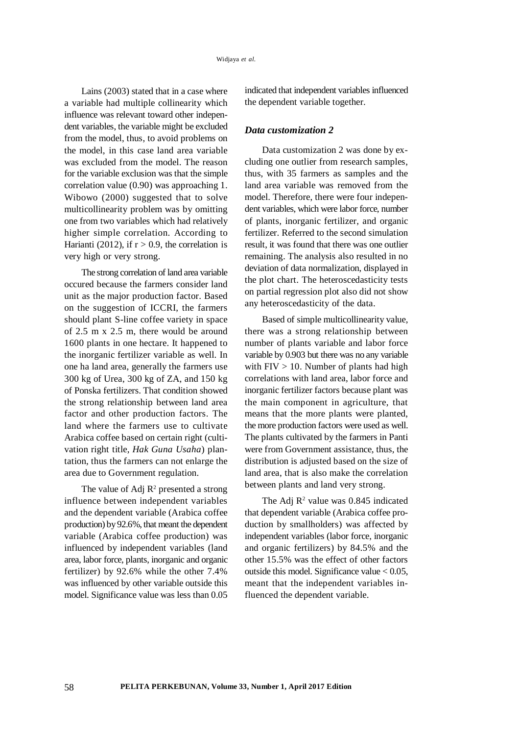Lains (2003) stated that in a case where a variable had multiple collinearity which influence was relevant toward other independent variables, the variable might be excluded from the model, thus, to avoid problems on the model, in this case land area variable was excluded from the model. The reason for the variable exclusion was that the simple correlation value (0.90) was approaching 1. Wibowo (2000) suggested that to solve multicollinearity problem was by omitting one from two variables which had relatively higher simple correlation. According to Harianti (2012), if  $r > 0.9$ , the correlation is very high or very strong.

The strong correlation of land area variable occured because the farmers consider land unit as the major production factor. Based on the suggestion of ICCRI, the farmers should plant S-line coffee variety in space of 2.5 m x 2.5 m, there would be around 1600 plants in one hectare. It happened to the inorganic fertilizer variable as well. In one ha land area, generally the farmers use 300 kg of Urea, 300 kg of ZA, and 150 kg of Ponska fertilizers. That condition showed the strong relationship between land area factor and other production factors. The land where the farmers use to cultivate Arabica coffee based on certain right (cultivation right title, *Hak Guna Usaha*) plantation, thus the farmers can not enlarge the area due to Government regulation.

The value of Adj  $\mathbb{R}^2$  presented a strong influence between independent variables and the dependent variable (Arabica coffee production) by 92.6%, that meant the dependent variable (Arabica coffee production) was influenced by independent variables (land area, labor force, plants, inorganic and organic fertilizer) by 92.6% while the other 7.4% was influenced by other variable outside this model. Significance value was less than 0.05

indicated that independent variables influenced the dependent variable together.

#### *Data customization 2*

Data customization 2 was done by excluding one outlier from research samples, thus, with 35 farmers as samples and the land area variable was removed from the model. Therefore, there were four independent variables, which were labor force, number of plants, inorganic fertilizer, and organic fertilizer. Referred to the second simulation result, it was found that there was one outlier remaining. The analysis also resulted in no deviation of data normalization, displayed in the plot chart. The heteroscedasticity tests on partial regression plot also did not show any heteroscedasticity of the data.

Based of simple multicollinearity value, there was a strong relationship between number of plants variable and labor force variable by 0.903 but there was no any variable with  $FIV > 10$ . Number of plants had high correlations with land area, labor force and inorganic fertilizer factors because plant was the main component in agriculture, that means that the more plants were planted, the more production factors were used as well. The plants cultivated by the farmers in Panti were from Government assistance, thus, the distribution is adjusted based on the size of land area, that is also make the correlation between plants and land very strong.

The Adj  $\mathbb{R}^2$  value was 0.845 indicated that dependent variable (Arabica coffee production by smallholders) was affected by independent variables (labor force, inorganic and organic fertilizers) by 84.5% and the other 15.5% was the effect of other factors outside this model. Significance value  $< 0.05$ , meant that the independent variables influenced the dependent variable.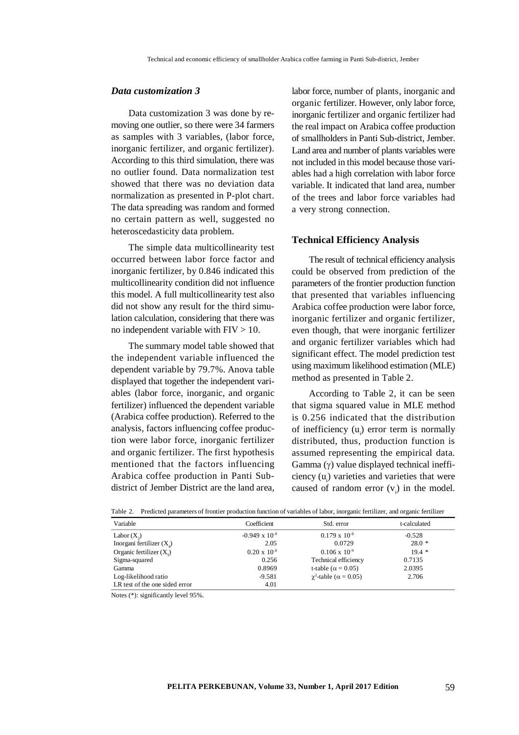## *Data customization 3*

Data customization 3 was done by removing one outlier, so there were 34 farmers as samples with 3 variables, (labor force, inorganic fertilizer, and organic fertilizer). According to this third simulation, there was no outlier found. Data normalization test showed that there was no deviation data normalization as presented in P-plot chart. The data spreading was random and formed no certain pattern as well, suggested no heteroscedasticity data problem.

The simple data multicollinearity test occurred between labor force factor and inorganic fertilizer, by 0.846 indicated this multicollinearity condition did not influence this model. A full multicollinearity test also did not show any result for the third simulation calculation, considering that there was no independent variable with  $FIV > 10$ .

The summary model table showed that the independent variable influenced the dependent variable by 79.7%. Anova table displayed that together the independent variables (labor force, inorganic, and organic fertilizer) influenced the dependent variable (Arabica coffee production). Referred to the analysis, factors influencing coffee production were labor force, inorganic fertilizer and organic fertilizer. The first hypothesis mentioned that the factors influencing Arabica coffee production in Panti Subdistrict of Jember District are the land area,

labor force, number of plants, inorganic and organic fertilizer. However, only labor force, inorganic fertilizer and organic fertilizer had the real impact on Arabica coffee production of smallholders in Panti Sub-district, Jember. Land area and number of plants variables were not included in this model because those variables had a high correlation with labor force variable. It indicated that land area, number of the trees and labor force variables had a very strong connection.

## **Technical Efficiency Analysis**

The result of technical efficiency analysis could be observed from prediction of the parameters of the frontier production function that presented that variables influencing Arabica coffee production were labor force, inorganic fertilizer and organic fertilizer, even though, that were inorganic fertilizer and organic fertilizer variables which had significant effect. The model prediction test using maximum likelihood estimation (MLE) method as presented in Table 2.

According to Table 2, it can be seen that sigma squared value in MLE method is 0.256 indicated that the distribution of inefficiency  $(u_{i})$  error term is normally distributed, thus, production function is assumed representing the empirical data. Gamma  $(\gamma)$  value displayed technical inefficiency  $(u_i)$  varieties and varieties that were caused of random error  $(v_i)$  in the model.

| Variable                       | Coefficient             | Std. error                           | t-calculated |
|--------------------------------|-------------------------|--------------------------------------|--------------|
| Labor $(X_2)$                  | $-0.949 \times 10^{-9}$ | $0.179 \times 10^{-8}$               | $-0.528$     |
| Inorgani fertilizer $(X_4)$    | 2.05                    | 0.0729                               | $28.0*$      |
| Organic fertilizer $(X_s)$     | $0.20 \times 10^{-8}$   | $0.106 \times 10^{-9}$               | $19.4*$      |
| Sigma-squared                  | 0.256                   | Technical efficiency                 | 0.7135       |
| Gamma                          | 0.8969                  | t-table ( $\alpha$ = 0.05)           | 2.0395       |
| Log-likelihood ratio           | $-9.581$                | $\gamma^2$ -table ( $\alpha$ = 0.05) | 2.706        |
| LR test of the one sided error | 4.01                    |                                      |              |

Table 2. Predicted parameters of frontier production function of variables of labor, inorganic fertilizer, and organic fertilizer

Notes (\*): significantly level 95%.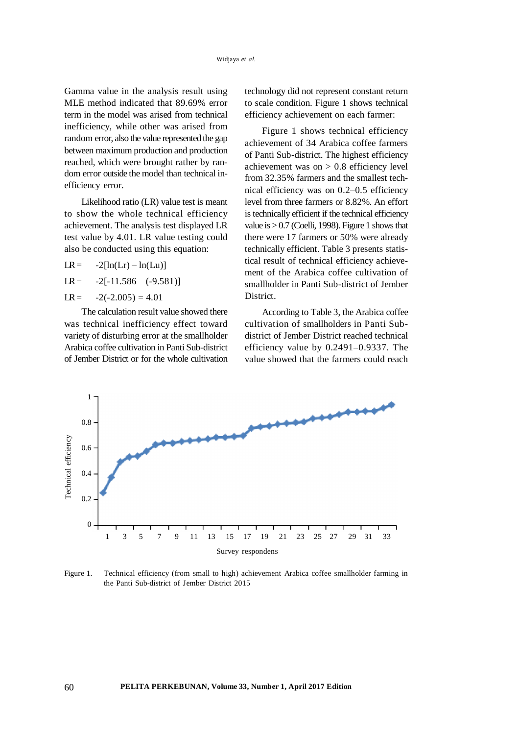Gamma value in the analysis result using MLE method indicated that 89.69% error term in the model was arised from technical inefficiency, while other was arised from random error, also the value represented the gap between maximum production and production reached, which were brought rather by random error outside the model than technical inefficiency error.

Likelihood ratio (LR) value test is meant to show the whole technical efficiency achievement. The analysis test displayed LR test value by 4.01. LR value testing could also be conducted using this equation:

 $LR = -2[ln(Lr) - ln(Lu)]$ 

 $LR = -2[-11.586 - (-9.581)]$ 

 $LR = -2(-2.005) = 4.01$ 

The calculation result value showed there was technical inefficiency effect toward variety of disturbing error at the smallholder Arabica coffee cultivation in Panti Sub-district of Jember District or for the whole cultivation

technology did not represent constant return to scale condition. Figure 1 shows technical efficiency achievement on each farmer:

Figure 1 shows technical efficiency achievement of 34 Arabica coffee farmers of Panti Sub-district. The highest efficiency achievement was on  $> 0.8$  efficiency level from 32.35% farmers and the smallest technical efficiency was on 0.2–0.5 efficiency level from three farmers or 8.82%. An effort is technically efficient if the technical efficiency value is  $> 0.7$  (Coelli, 1998). Figure 1 shows that there were 17 farmers or 50% were already technically efficient. Table 3 presents statistical result of technical efficiency achievement of the Arabica coffee cultivation of smallholder in Panti Sub-district of Jember District.

According to Table 3, the Arabica coffee cultivation of smallholders in Panti Subdistrict of Jember District reached technical efficiency value by 0.2491–0.9337. The value showed that the farmers could reach



Figure 1. Technical efficiency (from small to high) achievement Arabica coffee smallholder farming in the Panti Sub-district of Jember District 2015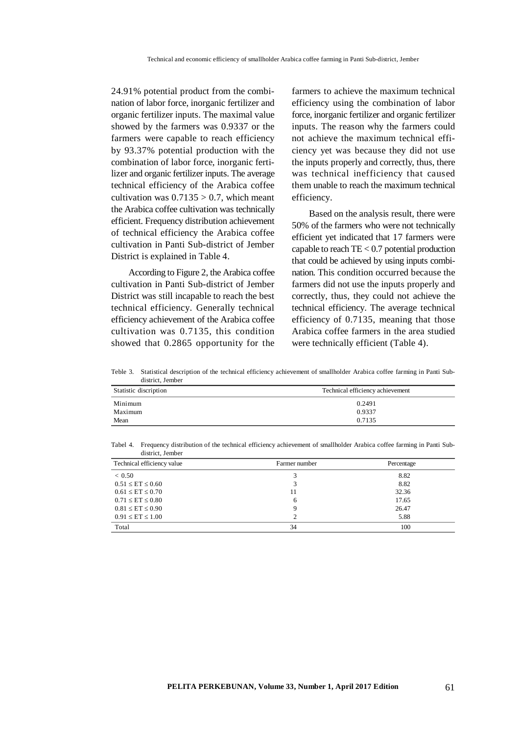24.91% potential product from the combination of labor force, inorganic fertilizer and organic fertilizer inputs. The maximal value showed by the farmers was 0.9337 or the farmers were capable to reach efficiency by 93.37% potential production with the combination of labor force, inorganic fertilizer and organic fertilizer inputs. The average technical efficiency of the Arabica coffee cultivation was  $0.7135 > 0.7$ , which meant the Arabica coffee cultivation was technically efficient. Frequency distribution achievement of technical efficiency the Arabica coffee cultivation in Panti Sub-district of Jember District is explained in Table 4.

According to Figure 2, the Arabica coffee cultivation in Panti Sub-district of Jember District was still incapable to reach the best technical efficiency. Generally technical efficiency achievement of the Arabica coffee cultivation was 0.7135, this condition showed that 0.2865 opportunity for the farmers to achieve the maximum technical efficiency using the combination of labor force, inorganic fertilizer and organic fertilizer inputs. The reason why the farmers could not achieve the maximum technical efficiency yet was because they did not use the inputs properly and correctly, thus, there was technical inefficiency that caused them unable to reach the maximum technical efficiency.

Based on the analysis result, there were 50% of the farmers who were not technically efficient yet indicated that 17 farmers were capable to reach TE < 0.7 potential production that could be achieved by using inputs combination. This condition occurred because the farmers did not use the inputs properly and correctly, thus, they could not achieve the technical efficiency. The average technical efficiency of 0.7135, meaning that those Arabica coffee farmers in the area studied were technically efficient (Table 4).

Teble 3. Statistical description of the technical efficiency achievement of smallholder Arabica coffee farming in Panti Subdistrict, Jember

| Statistic discription | Technical efficiency achievement |  |  |  |
|-----------------------|----------------------------------|--|--|--|
| Minimum               | 0.2491                           |  |  |  |
| Maximum               | 0.9337                           |  |  |  |
| Mean                  | 0.7135                           |  |  |  |

Tabel 4. Frequency distribution of the technical efficiency achievement of smallholder Arabica coffee farming in Panti Subdistrict, Jember

| Technical efficiency value | Farmer number | Percentage |
|----------------------------|---------------|------------|
| ${}< 0.50$                 |               | 8.82       |
| $0.51 \le ET \le 0.60$     |               | 8.82       |
| $0.61 \le ET \le 0.70$     | 11            | 32.36      |
| $0.71 \leq ET \leq 0.80$   | 6             | 17.65      |
| $0.81 \leq ET \leq 0.90$   |               | 26.47      |
| $0.91 \le ET \le 1.00$     |               | 5.88       |
| Total                      | 34            | 100        |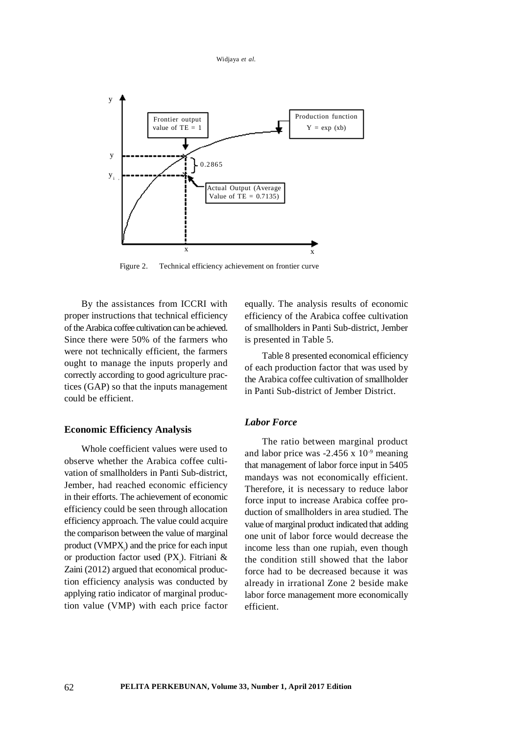Widjaya *et al.*



Figure 2. Technical efficiency achievement on frontier curve

By the assistances from ICCRI with proper instructions that technical efficiency of the Arabica coffee cultivation can be achieved. Since there were 50% of the farmers who were not technically efficient, the farmers ought to manage the inputs properly and correctly according to good agriculture practices (GAP) so that the inputs management could be efficient.

## **Economic Efficiency Analysis**

Whole coefficient values were used to observe whether the Arabica coffee cultivation of smallholders in Panti Sub-district, Jember, had reached economic efficiency in their efforts. The achievement of economic efficiency could be seen through allocation efficiency approach. The value could acquire the comparison between the value of marginal product  $(VMPX_i)$  and the price for each input or production factor used  $(PX_i)$ . Fitriani & Zaini (2012) argued that economical production efficiency analysis was conducted by applying ratio indicator of marginal production value (VMP) with each price factor equally. The analysis results of economic efficiency of the Arabica coffee cultivation of smallholders in Panti Sub-district, Jember is presented in Table 5.

Table 8 presented economical efficiency of each production factor that was used by the Arabica coffee cultivation of smallholder in Panti Sub-district of Jember District.

## *Labor Force*

The ratio between marginal product and labor price was  $-2.456 \times 10^{-9}$  meaning that management of labor force input in 5405 mandays was not economically efficient. Therefore, it is necessary to reduce labor force input to increase Arabica coffee production of smallholders in area studied. The value of marginal product indicated that adding one unit of labor force would decrease the income less than one rupiah, even though the condition still showed that the labor force had to be decreased because it was already in irrational Zone 2 beside make labor force management more economically efficient.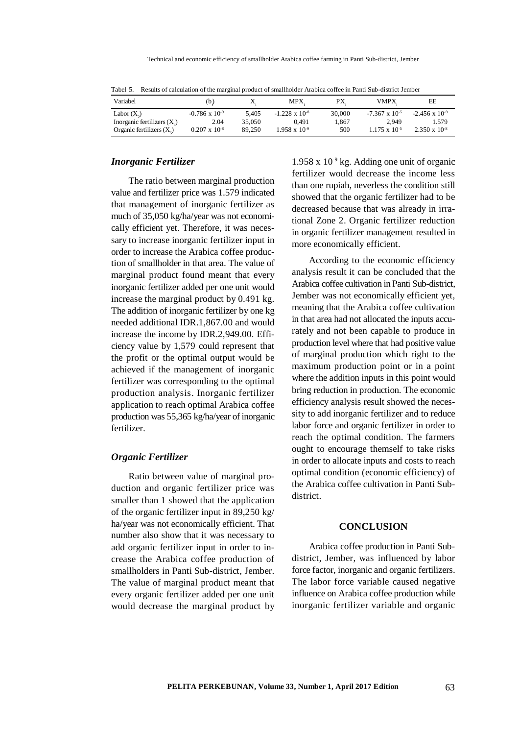| Variabel                            | (b.)                    |        | MPX.                    | PХ     | <b>VMPX</b>             | EE                      |
|-------------------------------------|-------------------------|--------|-------------------------|--------|-------------------------|-------------------------|
| Labor $(X_2)$                       | $-0.786 \times 10^{-9}$ | 5.405  | $-1.228 \times 10^{-8}$ | 30,000 | $-7.367 \times 10^{-5}$ | $-2.456 \times 10^{-9}$ |
| Inorganic fertilizers $(X_{\cdot})$ | 2.04                    | 35,050 | 0.491                   | 1.867  | 2.949                   | 1.579                   |
| Organic fertilizers $(X_{\cdot})$   | $0.207 \times 10^{-8}$  | 89.250 | $1.958 \times 10^{-9}$  | 500    | $1.175 \times 10^{-5}$  | $2.350 \times 10^{-8}$  |

Tabel 5. Results of calculation of the marginal product of smallholder Arabica coffee in Panti Sub-district Jember

#### *Inorganic Fertilizer*

The ratio between marginal production value and fertilizer price was 1.579 indicated that management of inorganic fertilizer as much of 35,050 kg/ha/year was not economically efficient yet. Therefore, it was necessary to increase inorganic fertilizer input in order to increase the Arabica coffee production of smallholder in that area. The value of marginal product found meant that every inorganic fertilizer added per one unit would increase the marginal product by 0.491 kg. The addition of inorganic fertilizer by one kg needed additional IDR.1,867.00 and would increase the income by IDR.2,949.00. Efficiency value by 1,579 could represent that the profit or the optimal output would be achieved if the management of inorganic fertilizer was corresponding to the optimal production analysis. Inorganic fertilizer application to reach optimal Arabica coffee production was 55,365 kg/ha/year of inorganic fertilizer.

## *Organic Fertilizer*

Ratio between value of marginal production and organic fertilizer price was smaller than 1 showed that the application of the organic fertilizer input in 89,250 kg/ ha/year was not economically efficient. That number also show that it was necessary to add organic fertilizer input in order to increase the Arabica coffee production of smallholders in Panti Sub-district, Jember. The value of marginal product meant that every organic fertilizer added per one unit would decrease the marginal product by

1.958 x  $10^{-9}$  kg. Adding one unit of organic fertilizer would decrease the income less than one rupiah, neverless the condition still showed that the organic fertilizer had to be decreased because that was already in irrational Zone 2. Organic fertilizer reduction in organic fertilizer management resulted in more economically efficient.

According to the economic efficiency analysis result it can be concluded that the Arabica coffee cultivation in Panti Sub-district, Jember was not economically efficient yet, meaning that the Arabica coffee cultivation in that area had not allocated the inputs accurately and not been capable to produce in production level where that had positive value of marginal production which right to the maximum production point or in a point where the addition inputs in this point would bring reduction in production. The economic efficiency analysis result showed the necessity to add inorganic fertilizer and to reduce labor force and organic fertilizer in order to reach the optimal condition. The farmers ought to encourage themself to take risks in order to allocate inputs and costs to reach optimal condition (economic efficiency) of the Arabica coffee cultivation in Panti Subdistrict.

## **CONCLUSION**

Arabica coffee production in Panti Subdistrict, Jember, was influenced by labor force factor, inorganic and organic fertilizers. The labor force variable caused negative influence on Arabica coffee production while inorganic fertilizer variable and organic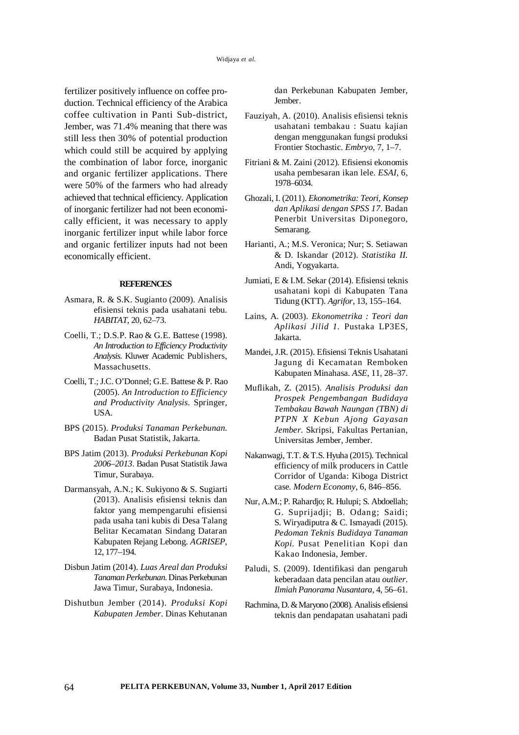fertilizer positively influence on coffee production. Technical efficiency of the Arabica coffee cultivation in Panti Sub-district, Jember, was 71.4% meaning that there was still less then 30% of potential production which could still be acquired by applying the combination of labor force, inorganic and organic fertilizer applications. There were 50% of the farmers who had already achieved that technical efficiency. Application of inorganic fertilizer had not been economically efficient, it was necessary to apply inorganic fertilizer input while labor force and organic fertilizer inputs had not been economically efficient.

#### **REFERENCES**

- Asmara, R. & S.K. Sugianto (2009). Analisis efisiensi teknis pada usahatani tebu. *HABITAT*, 20, 62–73.
- Coelli, T.; D.S.P. Rao & G.E. Battese (1998). *An Introduction to Efficiency Productivity Analysis*. Kluwer Academic Publishers, Massachusetts.
- Coelli, T.; J.C. O'Donnel; G.E. Battese & P. Rao (2005). *An Introduction to Efficiency and Productivity Analysis*. Springer, USA.
- BPS (2015). *Produksi Tanaman Perkebunan.* Badan Pusat Statistik, Jakarta.
- BPS Jatim (2013). *Produksi Perkebunan Kopi 2006*–*2013*. Badan Pusat Statistik Jawa Timur, Surabaya.
- Darmansyah, A.N.; K. Sukiyono & S. Sugiarti (2013). Analisis efisiensi teknis dan faktor yang mempengaruhi efisiensi pada usaha tani kubis di Desa Talang Belitar Kecamatan Sindang Dataran Kabupaten Rejang Lebong. *AGRISEP*, 12, 177–194.
- Disbun Jatim (2014). *Luas Areal dan Produksi Tanaman Perkebunan*. Dinas Perkebunan Jawa Timur, Surabaya, Indonesia.
- Dishutbun Jember (2014). *Produksi Kopi Kabupaten Jember*. Dinas Kehutanan

dan Perkebunan Kabupaten Jember, Jember.

- Fauziyah, A. (2010). Analisis efisiensi teknis usahatani tembakau : Suatu kajian dengan menggunakan fungsi produksi Frontier Stochastic. *Embryo*, 7, 1–7.
- Fitriani & M. Zaini (2012). Efisiensi ekonomis usaha pembesaran ikan lele. *ESAI,* 6, 1978–6034.
- Ghozali, I. (2011). *Ekonometrika: Teori, Konsep dan Aplikasi dengan SPSS 17*. Badan Penerbit Universitas Diponegoro, Semarang.
- Harianti, A.; M.S. Veronica; Nur; S. Setiawan & D. Iskandar (2012). *Statistika II.* Andi, Yogyakarta.
- Jumiati, E & I.M. Sekar (2014). Efisiensi teknis usahatani kopi di Kabupaten Tana Tidung (KTT). *Agrifor,* 13, 155–164.
- Lains, A. (2003). *Ekonometrika : Teori dan Aplikasi Jilid 1.* Pustaka LP3ES, Jakarta.
- Mandei, J.R. (2015). Efisiensi Teknis Usahatani Jagung di Kecamatan Remboken Kabupaten Minahasa. *ASE*, 11, 28–37.
- Muflikah, Z. (2015). *Analisis Produksi dan Prospek Pengembangan Budidaya Tembakau Bawah Naungan (TBN) di PTPN X Kebun Ajong Gayasan Jember*. Skripsi, Fakultas Pertanian, Universitas Jember, Jember.
- Nakanwagi, T.T. & T.S. Hyuha (2015). Technical efficiency of milk producers in Cattle Corridor of Uganda: Kiboga District case. *Modern Economy*, 6, 846–856.
- Nur, A.M.; P. Rahardjo; R. Hulupi; S. Abdoellah; G. Suprijadji; B. Odang; Saidi; S. Wiryadiputra & C. Ismayadi (2015). *Pedoman Teknis Budidaya Tanaman Kopi.* Pusat Penelitian Kopi dan Kakao Indonesia, Jember.
- Paludi, S. (2009). Identifikasi dan pengaruh keberadaan data pencilan atau *outlier*. *Ilmiah Panorama Nusantara,* 4, 56–61.
- Rachmina, D. & Maryono (2008). Analisis efisiensi teknis dan pendapatan usahatani padi